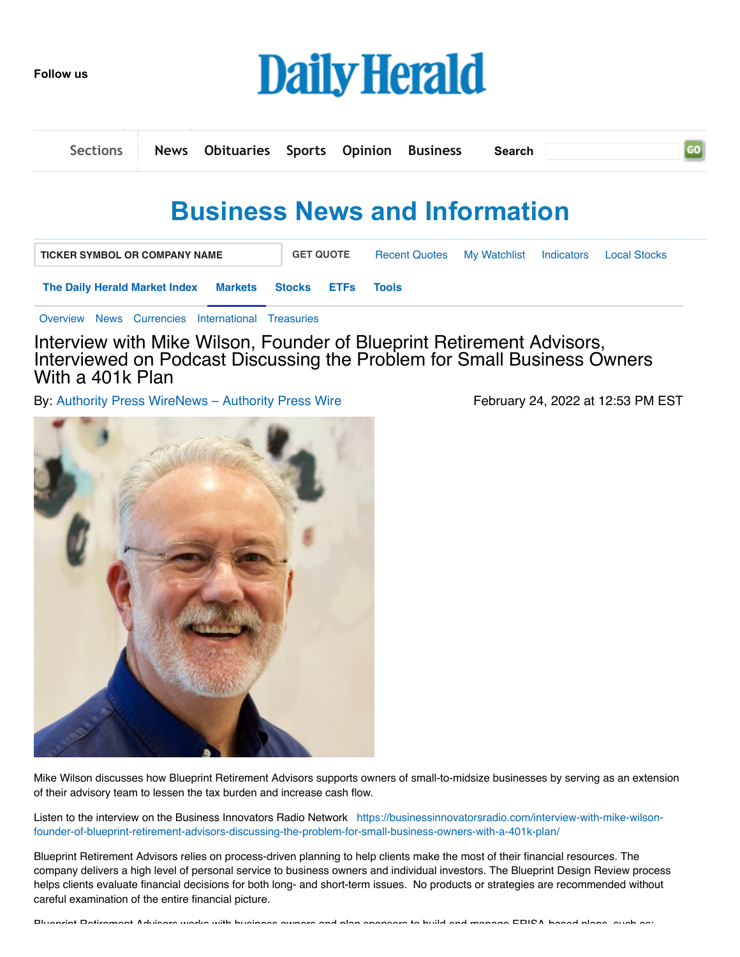**Follow us**



|  | Sections   News Obituaries Sports Opinion Business Search |  |  |  |
|--|-----------------------------------------------------------|--|--|--|
|  |                                                           |  |  |  |

## **Business News and Information**

| <b>TICKER SYMBOL OR COMPANY NAME</b>              | <b>GET QUOTE</b> | Recent Quotes My Watchlist Indicators |       | <b>Local Stocks</b> |  |
|---------------------------------------------------|------------------|---------------------------------------|-------|---------------------|--|
| The Daily Herald Market Index Markets Stocks ETFs |                  |                                       | Tools |                     |  |
|                                                   |                  |                                       |       |                     |  |

[Overview](http://finance.dailyherald.com/dailyherald/markets) [News](http://finance.dailyherald.com/dailyherald/markets/news) [Currencies](http://finance.dailyherald.com/dailyherald/currencies) [International](http://finance.dailyherald.com/dailyherald/markets/international) [Treasuries](http://finance.dailyherald.com/dailyherald/markets/treasury)

Interview with Mike Wilson, Founder of Blueprint Retirement Advisors, Interviewed on Podcast Discussing the Problem for Small Business Owners With a 401k Plan

By: Authority Press [WireNews](http://finance.dailyherald.com/dailyherald/news/channelinfo?ChannelID=6957) – Authority Press Wire February 24, 2022 at 12:53 PM EST



Mike Wilson discusses how Blueprint Retirement Advisors supports owners of small-to-midsize businesses by serving as an extension of their advisory team to lessen the tax burden and increase cash flow.

Listen to the interview on the Business Innovators Radio Network https://businessinnovatorsradio.com/interview-with-mike-wilsonfounder-of-blueprint-retirement-advisors-discussing-the-problem-for-small-business-owners-with-a-401k-plan/

Blueprint Retirement Advisors relies on process-driven planning to help clients make the most of their financial resources. The company delivers a high level of personal service to business owners and individual investors. The Blueprint Design Review process helps clients evaluate financial decisions for both long- and short-term issues. No products or strategies are recommended without careful examination of the entire financial picture.

Blueprint Retirement Advisors works with business owners and plan sponsors to build and manage ERISA based plans such as: